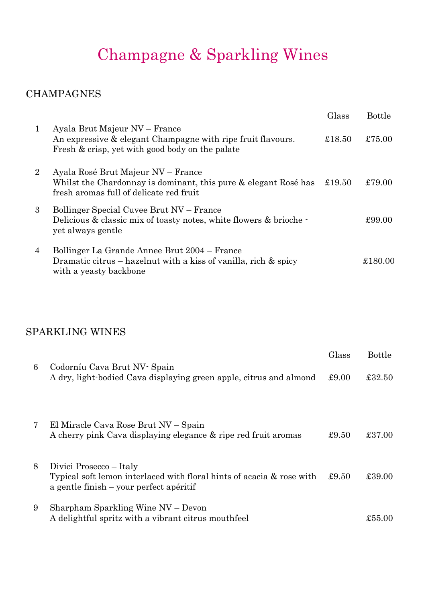## Champagne & Sparkling Wines

#### **CHAMPAGNES**

|                |                                                                                                                                                  | Glass  | <b>Bottle</b> |
|----------------|--------------------------------------------------------------------------------------------------------------------------------------------------|--------|---------------|
| $\mathbf{1}$   | Ayala Brut Majeur NV – France<br>An expressive & elegant Champagne with ripe fruit flavours.<br>Fresh & crisp, yet with good body on the palate  | £18.50 | £75.00        |
| $\overline{2}$ | Ayala Rosé Brut Majeur NV – France<br>Whilst the Chardonnay is dominant, this pure & elegant Rosé has<br>fresh aromas full of delicate red fruit | £19.50 | £79.00        |
| 3              | Bollinger Special Cuvee Brut NV – France<br>Delicious & classic mix of toasty notes, white flowers & brioche -<br>yet always gentle              |        | £99.00        |
| 4              | Bollinger La Grande Annee Brut 2004 – France<br>Dramatic citrus – hazelnut with a kiss of vanilla, rich $\&$ spicy<br>with a yeasty backbone     |        | £180.00       |

### SPARKLING WINES

|   |                                                                                                                                             | Glass | <b>Bottle</b> |
|---|---------------------------------------------------------------------------------------------------------------------------------------------|-------|---------------|
| 6 | Codorníu Cava Brut NV - Spain<br>A dry, light-bodied Cava displaying green apple, citrus and almond                                         | £9.00 | £32.50        |
| 7 | El Miracle Cava Rose Brut NV – Spain<br>A cherry pink Cava displaying elegance & ripe red fruit aromas                                      | £9.50 | £37.00        |
| 8 | Divici Prosecco – Italy<br>Typical soft lemon interlaced with floral hints of acacia & rose with<br>a gentle finish – your perfect apéritif | £9.50 | £39.00        |
| 9 | Sharpham Sparkling Wine NV - Devon<br>A delightful spritz with a vibrant citrus mouthfeel                                                   |       | £55.00        |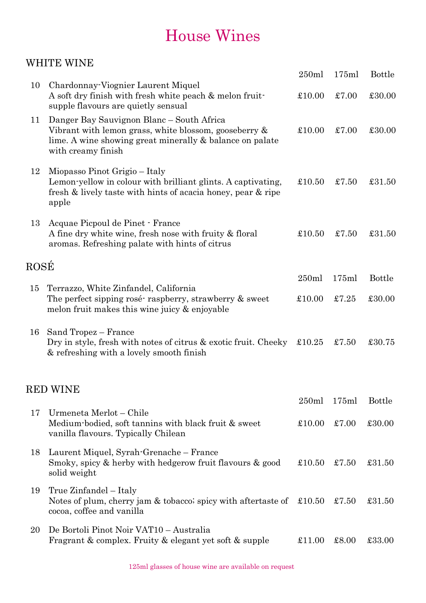### House Wines

#### WHITE WINE

|      |                                                                                                                                                                                         | 250ml          | 175ml | <b>Bottle</b> |
|------|-----------------------------------------------------------------------------------------------------------------------------------------------------------------------------------------|----------------|-------|---------------|
| 10   | Chardonnay-Viognier Laurent Miquel<br>A soft dry finish with fresh white peach & melon fruit-<br>supple flavours are quietly sensual                                                    | £10.00         | £7.00 | £30.00        |
| 11   | Danger Bay Sauvignon Blanc – South Africa<br>Vibrant with lemon grass, white blossom, gooseberry $\&$<br>lime. A wine showing great minerally & balance on palate<br>with creamy finish | £10.00         | £7.00 | £30.00        |
| 12   | Miopasso Pinot Grigio – Italy<br>Lemon-yellow in colour with brilliant glints. A captivating,<br>fresh & lively taste with hints of acacia honey, pear & ripe<br>apple                  | £10.50         | £7.50 | £31.50        |
| 13   | Acquae Picpoul de Pinet · France<br>A fine dry white wine, fresh nose with fruity & floral<br>aromas. Refreshing palate with hints of citrus                                            | £10.50         | £7.50 | £31.50        |
| ROSÉ |                                                                                                                                                                                         |                |       |               |
| 15   | Terrazzo, White Zinfandel, California<br>The perfect sipping rosé raspberry, strawberry & sweet<br>melon fruit makes this wine juicy & enjoyable                                        | 250ml          | 175ml | <b>Bottle</b> |
|      |                                                                                                                                                                                         | $\pounds10.00$ | £7.25 | £30.00        |
| 16   | Sand Tropez – France<br>Dry in style, fresh with notes of citrus & exotic fruit. Cheeky<br>& refreshing with a lovely smooth finish                                                     | £10.25         | £7.50 | £30.75        |
|      | <b>RED WINE</b>                                                                                                                                                                         |                |       |               |
|      |                                                                                                                                                                                         | 250ml          | 175ml | <b>Bottle</b> |
| 17   | Urmeneta Merlot – Chile<br>Medium-bodied, soft tannins with black fruit & sweet<br>vanilla flavours. Typically Chilean                                                                  | £10.00         | £7.00 | £30.00        |
| 18   | Laurent Miquel, Syrah-Grenache – France<br>Smoky, spicy & herby with hedgerow fruit flavours & good<br>solid weight                                                                     | £10.50         | £7.50 | £31.50        |
| 19   | True Zinfandel – Italy<br>Notes of plum, cherry jam & tobacco; spicy with aftertaste of $\text{\pounds}10.50$<br>cocoa, coffee and vanilla                                              |                | £7.50 | £31.50        |
| 20   | De Bortoli Pinot Noir VAT10 - Australia<br>Fragrant & complex. Fruity & elegant yet soft & supple                                                                                       | £11.00         | £8.00 | £33.00        |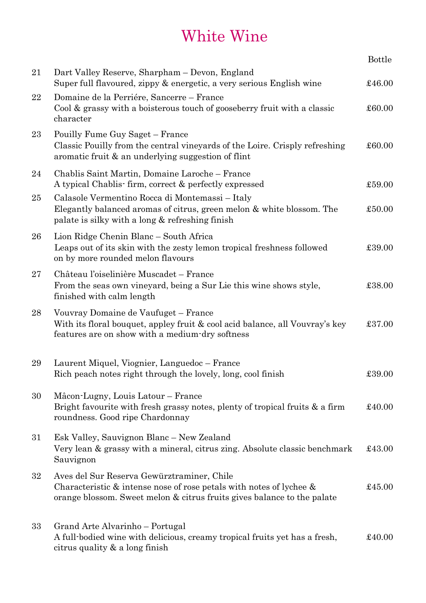## White Wine

|    |                                                                                                                                                                                                    | <b>Bottle</b> |
|----|----------------------------------------------------------------------------------------------------------------------------------------------------------------------------------------------------|---------------|
| 21 | Dart Valley Reserve, Sharpham - Devon, England<br>Super full flavoured, zippy & energetic, a very serious English wine                                                                             | £46.00        |
| 22 | Domaine de la Perriére, Sancerre – France<br>Cool & grassy with a boisterous touch of gooseberry fruit with a classic<br>character                                                                 | £60.00        |
| 23 | Pouilly Fume Guy Saget - France<br>Classic Pouilly from the central vineyards of the Loire. Crisply refreshing<br>aromatic fruit & an underlying suggestion of flint                               | £60.00        |
| 24 | Chablis Saint Martin, Domaine Laroche – France<br>A typical Chablis-firm, correct & perfectly expressed                                                                                            | £59.00        |
| 25 | Calasole Vermentino Rocca di Montemassi - Italy<br>Elegantly balanced aromas of citrus, green melon & white blossom. The<br>palate is silky with a long & refreshing finish                        | £50.00        |
| 26 | Lion Ridge Chenin Blanc – South Africa<br>Leaps out of its skin with the zesty lemon tropical freshness followed<br>on by more rounded melon flavours                                              | £39.00        |
| 27 | Château l'oiselinière Muscadet - France<br>From the seas own vineyard, being a Sur Lie this wine shows style,<br>finished with calm length                                                         | £38.00        |
| 28 | Vouvray Domaine de Vaufuget - France<br>With its floral bouquet, appley fruit & cool acid balance, all Vouvray's key<br>features are on show with a medium-dry softness                            | £37.00        |
| 29 | Laurent Miquel, Viognier, Languedoc - France<br>Rich peach notes right through the lovely, long, cool finish                                                                                       | £39.00        |
| 30 | Mâcon-Lugny, Louis Latour – France<br>Bright favourite with fresh grassy notes, plenty of tropical fruits $\&$ a firm<br>roundness. Good ripe Chardonnay                                           | £40.00        |
| 31 | Esk Valley, Sauvignon Blanc - New Zealand<br>Very lean & grassy with a mineral, citrus zing. Absolute classic benchmark<br>Sauvignon                                                               | £43.00        |
| 32 | Aves del Sur Reserva Gewürztraminer, Chile<br>Characteristic $\&$ intense nose of rose petals with notes of lychee $\&$<br>orange blossom. Sweet melon & citrus fruits gives balance to the palate | £45.00        |
| 33 | Grand Arte Alvarinho – Portugal<br>A full-bodied wine with delicious, creamy tropical fruits yet has a fresh,<br>citrus quality $\&$ a long finish                                                 | £40.00        |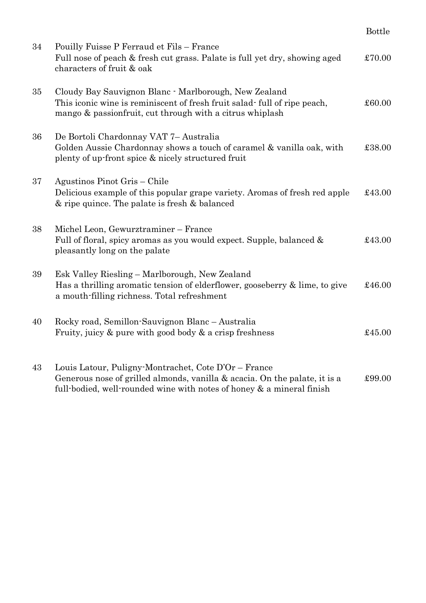|    |                                                                                                                                                                                                             | <b>Bottle</b> |
|----|-------------------------------------------------------------------------------------------------------------------------------------------------------------------------------------------------------------|---------------|
| 34 | Pouilly Fuisse P Ferraud et Fils - France<br>Full nose of peach & fresh cut grass. Palate is full yet dry, showing aged<br>characters of fruit & oak                                                        | £70.00        |
| 35 | Cloudy Bay Sauvignon Blanc · Marlborough, New Zealand<br>This iconic wine is reminiscent of fresh fruit salad full of ripe peach,<br>mango & passionfruit, cut through with a citrus whiplash               | £60.00        |
| 36 | De Bortoli Chardonnay VAT 7- Australia<br>Golden Aussie Chardonnay shows a touch of caramel & vanilla oak, with<br>plenty of up-front spice & nicely structured fruit                                       | £38.00        |
| 37 | Agustinos Pinot Gris - Chile<br>Delicious example of this popular grape variety. Aromas of fresh red apple<br>& ripe quince. The palate is fresh & balanced                                                 | £43.00        |
| 38 | Michel Leon, Gewurztraminer – France<br>Full of floral, spicy aromas as you would expect. Supple, balanced &<br>pleasantly long on the palate                                                               | £43.00        |
| 39 | Esk Valley Riesling - Marlborough, New Zealand<br>Has a thrilling aromatic tension of elderflower, gooseberry & lime, to give<br>a mouth-filling richness. Total refreshment                                | £46.00        |
| 40 | Rocky road, Semillon-Sauvignon Blanc – Australia<br>Fruity, juicy $\&$ pure with good body $\&$ a crisp freshness                                                                                           | £45.00        |
| 43 | Louis Latour, Puligny-Montrachet, Cote D'Or – France<br>Generous nose of grilled almonds, vanilla & acacia. On the palate, it is a<br>full-bodied, well-rounded wine with notes of honey & a mineral finish | £99.00        |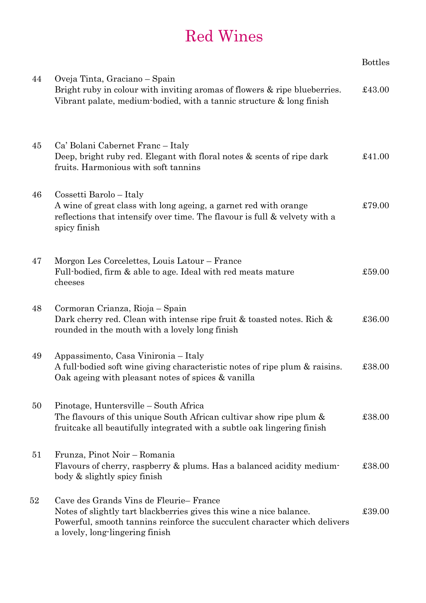# Red Wines

|    |                                                                                                                                                                                                                               | <b>Bottles</b> |
|----|-------------------------------------------------------------------------------------------------------------------------------------------------------------------------------------------------------------------------------|----------------|
| 44 | Oveja Tinta, Graciano – Spain<br>Bright ruby in colour with inviting aromas of flowers & ripe blueberries.<br>Vibrant palate, medium-bodied, with a tannic structure & long finish                                            | £43.00         |
| 45 | Ca' Bolani Cabernet Franc – Italy<br>Deep, bright ruby red. Elegant with floral notes & scents of ripe dark<br>fruits. Harmonious with soft tannins                                                                           | £41.00         |
| 46 | Cossetti Barolo – Italy<br>A wine of great class with long ageing, a garnet red with orange<br>reflections that intensify over time. The flavour is full & velvety with a<br>spicy finish                                     | £79.00         |
| 47 | Morgon Les Corcelettes, Louis Latour – France<br>Full-bodied, firm & able to age. Ideal with red meats mature<br>cheeses                                                                                                      | £59.00         |
| 48 | Cormoran Crianza, Rioja – Spain<br>Dark cherry red. Clean with intense ripe fruit & toasted notes. Rich &<br>rounded in the mouth with a lovely long finish                                                                   | £36.00         |
| 49 | Appassimento, Casa Vinironia – Italy<br>A full-bodied soft wine giving characteristic notes of ripe plum & raisins.<br>Oak ageing with pleasant notes of spices & vanilla                                                     | £38.00         |
| 50 | Pinotage, Huntersville – South Africa<br>The flavours of this unique South African cultivar show ripe plum &<br>fruitcake all beautifully integrated with a subtle oak lingering finish                                       | £38.00         |
| 51 | Frunza, Pinot Noir – Romania<br>Flavours of cherry, raspberry & plums. Has a balanced acidity medium-<br>body & slightly spicy finish                                                                                         | £38.00         |
| 52 | Cave des Grands Vins de Fleurie-France<br>Notes of slightly tart blackberries gives this wine a nice balance.<br>Powerful, smooth tannins reinforce the succulent character which delivers<br>a lovely, long-lingering finish | £39.00         |